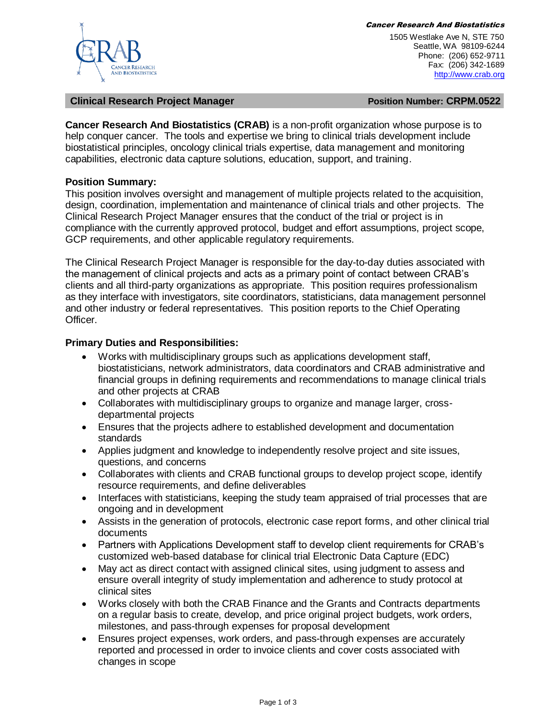

Cancer Research And Biostatistics

1505 Westlake Ave N, STE 750 Seattle, WA 98109-6244 Phone: (206) 652-9711 Fax: (206) 342-1689 [http://www.crab.org](http://www.crab.org/)

#### **Clinical Research Project Manager Position Number: CRPM.0522**

**Cancer Research And Biostatistics (CRAB)** is a non-profit organization whose purpose is to help conquer cancer. The tools and expertise we bring to clinical trials development include biostatistical principles, oncology clinical trials expertise, data management and monitoring capabilities, electronic data capture solutions, education, support, and training.

### **Position Summary:**

This position involves oversight and management of multiple projects related to the acquisition, design, coordination, implementation and maintenance of clinical trials and other projects. The Clinical Research Project Manager ensures that the conduct of the trial or project is in compliance with the currently approved protocol, budget and effort assumptions, project scope, GCP requirements, and other applicable regulatory requirements.

The Clinical Research Project Manager is responsible for the day-to-day duties associated with the management of clinical projects and acts as a primary point of contact between CRAB's clients and all third-party organizations as appropriate. This position requires professionalism as they interface with investigators, site coordinators, statisticians, data management personnel and other industry or federal representatives. This position reports to the Chief Operating Officer.

### **Primary Duties and Responsibilities:**

- Works with multidisciplinary groups such as applications development staff, biostatisticians, network administrators, data coordinators and CRAB administrative and financial groups in defining requirements and recommendations to manage clinical trials and other projects at CRAB
- Collaborates with multidisciplinary groups to organize and manage larger, crossdepartmental projects
- Ensures that the projects adhere to established development and documentation standards
- Applies judgment and knowledge to independently resolve project and site issues, questions, and concerns
- Collaborates with clients and CRAB functional groups to develop project scope, identify resource requirements, and define deliverables
- Interfaces with statisticians, keeping the study team appraised of trial processes that are ongoing and in development
- Assists in the generation of protocols, electronic case report forms, and other clinical trial documents
- Partners with Applications Development staff to develop client requirements for CRAB's customized web-based database for clinical trial Electronic Data Capture (EDC)
- May act as direct contact with assigned clinical sites, using judgment to assess and ensure overall integrity of study implementation and adherence to study protocol at clinical sites
- Works closely with both the CRAB Finance and the Grants and Contracts departments on a regular basis to create, develop, and price original project budgets, work orders, milestones, and pass-through expenses for proposal development
- Ensures project expenses, work orders, and pass-through expenses are accurately reported and processed in order to invoice clients and cover costs associated with changes in scope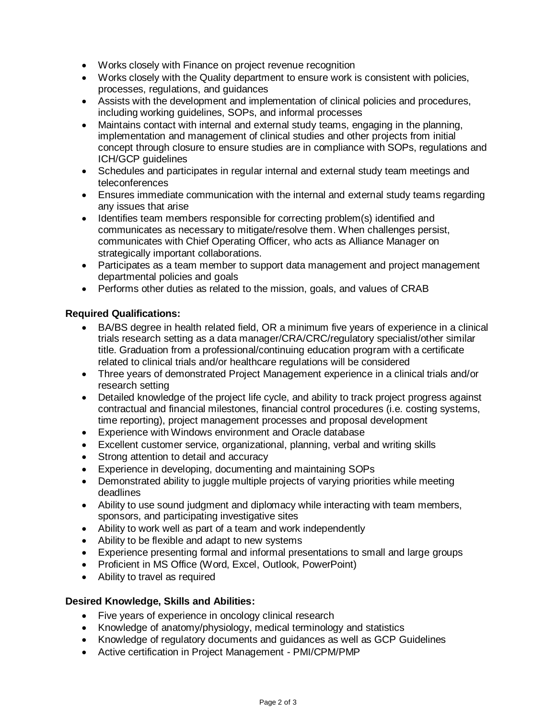- Works closely with Finance on project revenue recognition
- Works closely with the Quality department to ensure work is consistent with policies, processes, regulations, and guidances
- Assists with the development and implementation of clinical policies and procedures, including working guidelines, SOPs, and informal processes
- Maintains contact with internal and external study teams, engaging in the planning, implementation and management of clinical studies and other projects from initial concept through closure to ensure studies are in compliance with SOPs, regulations and ICH/GCP guidelines
- Schedules and participates in regular internal and external study team meetings and teleconferences
- Ensures immediate communication with the internal and external study teams regarding any issues that arise
- Identifies team members responsible for correcting problem(s) identified and communicates as necessary to mitigate/resolve them. When challenges persist, communicates with Chief Operating Officer, who acts as Alliance Manager on strategically important collaborations.
- Participates as a team member to support data management and project management departmental policies and goals
- Performs other duties as related to the mission, goals, and values of CRAB

# **Required Qualifications:**

- BA/BS degree in health related field, OR a minimum five years of experience in a clinical trials research setting as a data manager/CRA/CRC/regulatory specialist/other similar title. Graduation from a professional/continuing education program with a certificate related to clinical trials and/or healthcare regulations will be considered
- Three years of demonstrated Project Management experience in a clinical trials and/or research setting
- Detailed knowledge of the project life cycle, and ability to track project progress against contractual and financial milestones, financial control procedures (i.e. costing systems, time reporting), project management processes and proposal development
- Experience with Windows environment and Oracle database
- Excellent customer service, organizational, planning, verbal and writing skills
- Strong attention to detail and accuracy
- Experience in developing, documenting and maintaining SOPs
- Demonstrated ability to juggle multiple projects of varying priorities while meeting deadlines
- Ability to use sound judgment and diplomacy while interacting with team members, sponsors, and participating investigative sites
- Ability to work well as part of a team and work independently
- Ability to be flexible and adapt to new systems
- Experience presenting formal and informal presentations to small and large groups
- Proficient in MS Office (Word, Excel, Outlook, PowerPoint)
- Ability to travel as required

## **Desired Knowledge, Skills and Abilities:**

- Five years of experience in oncology clinical research
- Knowledge of anatomy/physiology, medical terminology and statistics
- Knowledge of regulatory documents and guidances as well as GCP Guidelines
- Active certification in Project Management PMI/CPM/PMP